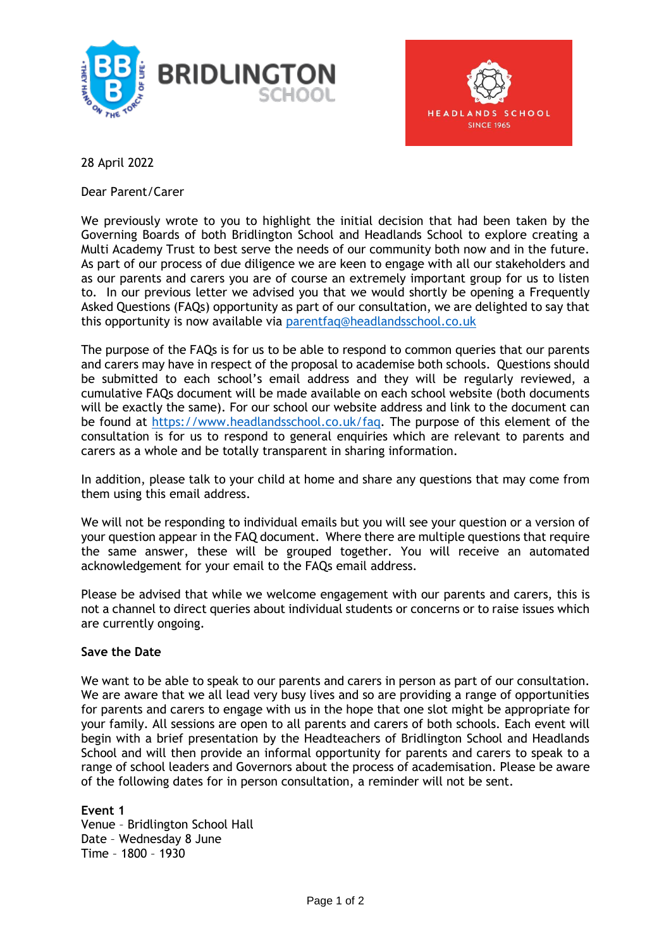



28 April 2022

Dear Parent/Carer

We previously wrote to you to highlight the initial decision that had been taken by the Governing Boards of both Bridlington School and Headlands School to explore creating a Multi Academy Trust to best serve the needs of our community both now and in the future. As part of our process of due diligence we are keen to engage with all our stakeholders and as our parents and carers you are of course an extremely important group for us to listen to. In our previous letter we advised you that we would shortly be opening a Frequently Asked Questions (FAQs) opportunity as part of our consultation, we are delighted to say that this opportunity is now available via [parentfaq@headlandsschool.co.uk](mailto:parentfaq@headlandsschool.co.uk)

The purpose of the FAQs is for us to be able to respond to common queries that our parents and carers may have in respect of the proposal to academise both schools. Questions should be submitted to each school's email address and they will be regularly reviewed, a cumulative FAQs document will be made available on each school website (both documents will be exactly the same). For our school our website address and link to the document can be found at [https://www.headlandsschool.co.uk/faq.](https://www.headlandsschool.co.uk/faq) The purpose of this element of the consultation is for us to respond to general enquiries which are relevant to parents and carers as a whole and be totally transparent in sharing information.

In addition, please talk to your child at home and share any questions that may come from them using this email address.

We will not be responding to individual emails but you will see your question or a version of your question appear in the FAQ document. Where there are multiple questions that require the same answer, these will be grouped together. You will receive an automated acknowledgement for your email to the FAQs email address.

Please be advised that while we welcome engagement with our parents and carers, this is not a channel to direct queries about individual students or concerns or to raise issues which are currently ongoing.

## **Save the Date**

We want to be able to speak to our parents and carers in person as part of our consultation. We are aware that we all lead very busy lives and so are providing a range of opportunities for parents and carers to engage with us in the hope that one slot might be appropriate for your family. All sessions are open to all parents and carers of both schools. Each event will begin with a brief presentation by the Headteachers of Bridlington School and Headlands School and will then provide an informal opportunity for parents and carers to speak to a range of school leaders and Governors about the process of academisation. Please be aware of the following dates for in person consultation, a reminder will not be sent.

**Event 1**

Venue – Bridlington School Hall Date – Wednesday 8 June Time – 1800 – 1930